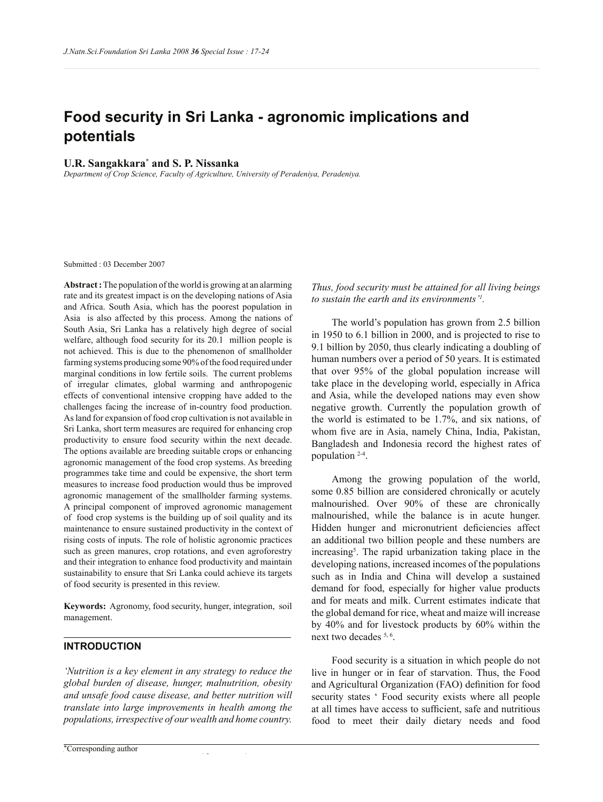# **Food security in Sri Lanka - agronomic implications and potentials**

## **U.R. Sangakkara\* and S. P. Nissanka**

*Department of Crop Science, Faculty of Agriculture, University of Peradeniya, Peradeniya.*

Submitted : 03 December 2007

**Abstract :** The population of the world is growing at an alarming rate and its greatest impact is on the developing nations of Asia and Africa. South Asia, which has the poorest population in Asia is also affected by this process. Among the nations of South Asia, Sri Lanka has a relatively high degree of social welfare, although food security for its 20.1 million people is not achieved. This is due to the phenomenon of smallholder farming systems producing some 90% of the food required under marginal conditions in low fertile soils. The current problems of irregular climates, global warming and anthropogenic effects of conventional intensive cropping have added to the challenges facing the increase of in-country food production. As land for expansion of food crop cultivation is not available in Sri Lanka, short term measures are required for enhancing crop productivity to ensure food security within the next decade. The options available are breeding suitable crops or enhancing agronomic management of the food crop systems. As breeding programmes take time and could be expensive, the short term measures to increase food production would thus be improved agronomic management of the smallholder farming systems. A principal component of improved agronomic management of food crop systems is the building up of soil quality and its maintenance to ensure sustained productivity in the context of rising costs of inputs. The role of holistic agronomic practices such as green manures, crop rotations, and even agroforestry and their integration to enhance food productivity and maintain sustainability to ensure that Sri Lanka could achieve its targets of food security is presented in this review.

**Keywords:** Agronomy, food security, hunger, integration, soil management.

## **INTRODUCTION**

*'Nutrition is a key element in any strategy to reduce the global burden of disease, hunger, malnutrition, obesity and unsafe food cause disease, and better nutrition will translate into large improvements in health among the populations, irrespective of our wealth and home country.* 

*Thus, food security must be attained for all living beings to sustain the earth and its environments'<sup>1</sup> .*

 The world's population has grown from 2.5 billion in 1950 to 6.1 billion in 2000, and is projected to rise to 9.1 billion by 2050, thus clearly indicating a doubling of human numbers over a period of 50 years. It is estimated that over 95% of the global population increase will take place in the developing world, especially in Africa and Asia, while the developed nations may even show negative growth. Currently the population growth of the world is estimated to be 1.7%, and six nations, of whom five are in Asia, namely China, India, Pakistan, Bangladesh and Indonesia record the highest rates of population 2-4 .

 Among the growing population of the world, some 0.85 billion are considered chronically or acutely malnourished. Over 90% of these are chronically malnourished, while the balance is in acute hunger. Hidden hunger and micronutrient deficiencies affect an additional two billion people and these numbers are increasing<sup>5</sup>. The rapid urbanization taking place in the developing nations, increased incomes of the populations such as in India and China will develop a sustained demand for food, especially for higher value products and for meats and milk. Current estimates indicate that the global demand for rice, wheat and maize will increase by 40% and for livestock products by 60% within the next two decades <sup>5, 6</sup>.

 Food security is a situation in which people do not live in hunger or in fear of starvation. Thus, the Food and Agricultural Organization (FAO) definition for food security states ' Food security exists where all people at all times have access to sufficient, safe and nutritious food to meet their daily dietary needs and food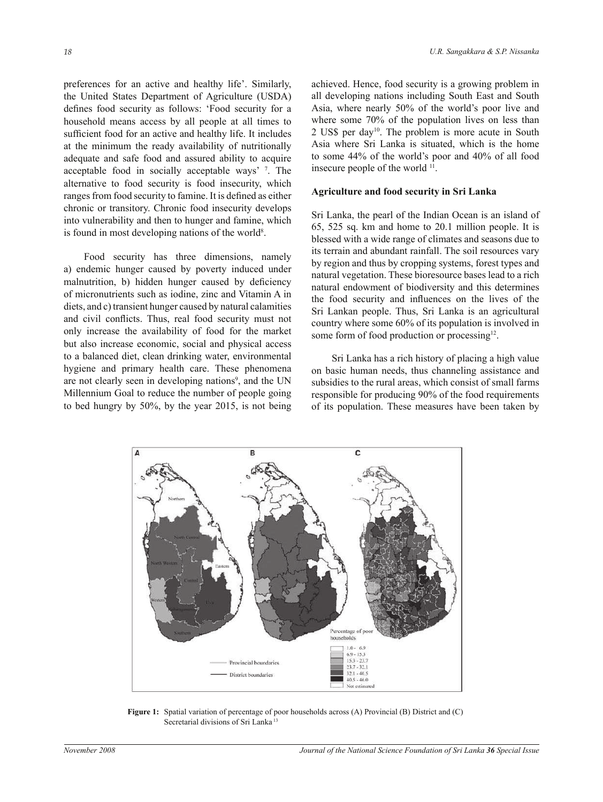preferences for an active and healthy life'. Similarly, the United States Department of Agriculture (USDA) defines food security as follows: 'Food security for a household means access by all people at all times to sufficient food for an active and healthy life. It includes at the minimum the ready availability of nutritionally adequate and safe food and assured ability to acquire acceptable food in socially acceptable ways' <sup>7</sup> . The alternative to food security is food insecurity, which ranges from food security to famine. It is defined as either chronic or transitory. Chronic food insecurity develops into vulnerability and then to hunger and famine, which is found in most developing nations of the world<sup>8</sup>.

 Food security has three dimensions, namely a) endemic hunger caused by poverty induced under malnutrition, b) hidden hunger caused by deficiency of micronutrients such as iodine, zinc and Vitamin A in diets, and c) transient hunger caused by natural calamities and civil conflicts. Thus, real food security must not only increase the availability of food for the market but also increase economic, social and physical access to a balanced diet, clean drinking water, environmental hygiene and primary health care. These phenomena are not clearly seen in developing nations<sup>9</sup>, and the UN Millennium Goal to reduce the number of people going to bed hungry by 50%, by the year 2015, is not being

achieved. Hence, food security is a growing problem in all developing nations including South East and South Asia, where nearly 50% of the world's poor live and where some 70% of the population lives on less than 2 US\$ per day<sup>10</sup>. The problem is more acute in South Asia where Sri Lanka is situated, which is the home to some 44% of the world's poor and 40% of all food insecure people of the world <sup>11</sup>.

#### **Agriculture and food security in Sri Lanka**

Sri Lanka, the pearl of the Indian Ocean is an island of 65, 525 sq. km and home to 20.1 million people. It is blessed with a wide range of climates and seasons due to its terrain and abundant rainfall. The soil resources vary by region and thus by cropping systems, forest types and natural vegetation. These bioresource bases lead to a rich natural endowment of biodiversity and this determines the food security and influences on the lives of the Sri Lankan people. Thus, Sri Lanka is an agricultural country where some 60% of its population is involved in some form of food production or processing<sup>12</sup>.

 Sri Lanka has a rich history of placing a high value on basic human needs, thus channeling assistance and subsidies to the rural areas, which consist of small farms responsible for producing 90% of the food requirements of its population. These measures have been taken by



**Figure 1:** Spatial variation of percentage of poor households across (A) Provincial (B) District and (C) Secretarial divisions of Sri Lanka<sup>13</sup>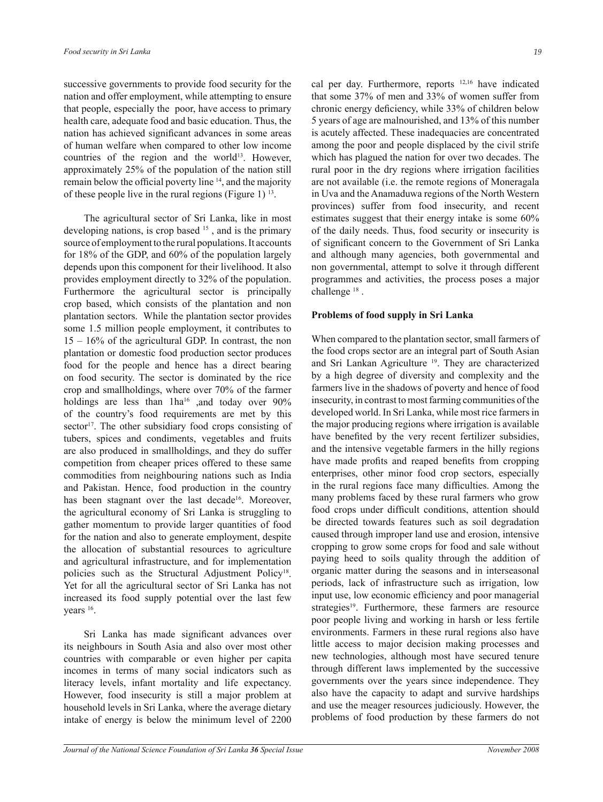successive governments to provide food security for the nation and offer employment, while attempting to ensure that people, especially the poor, have access to primary health care, adequate food and basic education. Thus, the nation has achieved significant advances in some areas of human welfare when compared to other low income countries of the region and the world<sup>13</sup>. However, approximately 25% of the population of the nation still remain below the official poverty line <sup>14</sup>, and the majority of these people live in the rural regions (Figure 1)  $^{13}$ .

 The agricultural sector of Sri Lanka, like in most developing nations, is crop based <sup>15</sup>, and is the primary source of employment to the rural populations. It accounts for 18% of the GDP, and 60% of the population largely depends upon this component for their livelihood. It also provides employment directly to 32% of the population. Furthermore the agricultural sector is principally crop based, which consists of the plantation and non plantation sectors. While the plantation sector provides some 1.5 million people employment, it contributes to 15 – 16% of the agricultural GDP. In contrast, the non plantation or domestic food production sector produces food for the people and hence has a direct bearing on food security. The sector is dominated by the rice crop and smallholdings, where over 70% of the farmer holdings are less than  $1ha^{16}$  ,and today over 90% of the country's food requirements are met by this sector<sup>17</sup>. The other subsidiary food crops consisting of tubers, spices and condiments, vegetables and fruits are also produced in smallholdings, and they do suffer competition from cheaper prices offered to these same commodities from neighbouring nations such as India and Pakistan. Hence, food production in the country has been stagnant over the last decade<sup>16</sup>. Moreover, the agricultural economy of Sri Lanka is struggling to gather momentum to provide larger quantities of food for the nation and also to generate employment, despite the allocation of substantial resources to agriculture and agricultural infrastructure, and for implementation policies such as the Structural Adjustment Policy<sup>18</sup>. Yet for all the agricultural sector of Sri Lanka has not increased its food supply potential over the last few years <sup>16</sup>.

 Sri Lanka has made significant advances over its neighbours in South Asia and also over most other countries with comparable or even higher per capita incomes in terms of many social indicators such as literacy levels, infant mortality and life expectancy. However, food insecurity is still a major problem at household levels in Sri Lanka, where the average dietary intake of energy is below the minimum level of 2200

cal per day. Furthermore, reports 12,16 have indicated that some 37% of men and 33% of women suffer from chronic energy deficiency, while 33% of children below 5 years of age are malnourished, and 13% of this number is acutely affected. These inadequacies are concentrated among the poor and people displaced by the civil strife which has plagued the nation for over two decades. The rural poor in the dry regions where irrigation facilities are not available (i.e. the remote regions of Moneragala in Uva and the Anamaduwa regions of the North Western provinces) suffer from food insecurity, and recent estimates suggest that their energy intake is some 60% of the daily needs. Thus, food security or insecurity is of significant concern to the Government of Sri Lanka and although many agencies, both governmental and non governmental, attempt to solve it through different programmes and activities, the process poses a major challenge<sup>18</sup>.

#### **Problems of food supply in Sri Lanka**

When compared to the plantation sector, small farmers of the food crops sector are an integral part of South Asian and Sri Lankan Agriculture<sup>19</sup>. They are characterized by a high degree of diversity and complexity and the farmers live in the shadows of poverty and hence of food insecurity, in contrast to most farming communities of the developed world. In Sri Lanka, while most rice farmers in the major producing regions where irrigation is available have benefited by the very recent fertilizer subsidies, and the intensive vegetable farmers in the hilly regions have made profits and reaped benefits from cropping enterprises, other minor food crop sectors, especially in the rural regions face many difficulties. Among the many problems faced by these rural farmers who grow food crops under difficult conditions, attention should be directed towards features such as soil degradation caused through improper land use and erosion, intensive cropping to grow some crops for food and sale without paying heed to soils quality through the addition of organic matter during the seasons and in interseasonal periods, lack of infrastructure such as irrigation, low input use, low economic efficiency and poor managerial strategies<sup>19</sup>. Furthermore, these farmers are resource poor people living and working in harsh or less fertile environments. Farmers in these rural regions also have little access to major decision making processes and new technologies, although most have secured tenure through different laws implemented by the successive governments over the years since independence. They also have the capacity to adapt and survive hardships and use the meager resources judiciously. However, the problems of food production by these farmers do not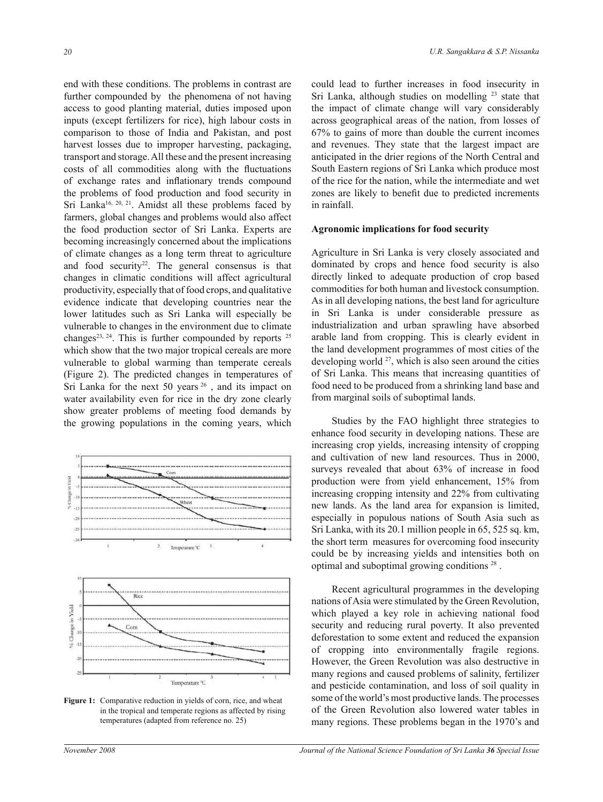end with these conditions. The problems in contrast are further compounded by the phenomena of not having access to good planting material, duties imposed upon inputs (except fertilizers for rice), high labour costs in comparison to those of India and Pakistan, and post harvest losses due to improper harvesting, packaging, transport and storage. All these and the present increasing costs of all commodities along with the fluctuations of exchange rates and inflationary trends compound the problems of food production and food security in Sri Lanka<sup>16, 20, 21</sup>. Amidst all these problems faced by farmers, global changes and problems would also affect the food production sector of Sri Lanka. Experts are becoming increasingly concerned about the implications of climate changes as a long term threat to agriculture and food security<sup>22</sup>. The general consensus is that changes in climatic conditions will affect agricultural productivity, especially that of food crops, and qualitative evidence indicate that developing countries near the lower latitudes such as Sri Lanka will especially be vulnerable to changes in the environment due to climate changes<sup>23, 24</sup>. This is further compounded by reports  $2^5$ which show that the two major tropical cereals are more vulnerable to global warming than temperate cereals (Figure 2). The predicted changes in temperatures of Sri Lanka for the next 50 years  $26$ , and its impact on water availability even for rice in the dry zone clearly show greater problems of meeting food demands by the growing populations in the coming years, which



Figure 1: Comparative reduction in yields of corn, rice, and wheat in the tropical and temperate regions as affected by rising temperatures (adapted from reference no. 25)

could lead to further increases in food insecurity in Sri Lanka, although studies on modelling <sup>23</sup> state that the impact of climate change will vary considerably across geographical areas of the nation, from losses of 67% to gains of more than double the current incomes and revenues. They state that the largest impact are anticipated in the drier regions of the North Central and South Eastern regions of Sri Lanka which produce most of the rice for the nation, while the intermediate and wet zones are likely to benefit due to predicted increments in rainfall.

### **Agronomic implications for food security**

Agriculture in Sri Lanka is very closely associated and dominated by crops and hence food security is also directly linked to adequate production of crop based commodities for both human and livestock consumption. As in all developing nations, the best land for agriculture in Sri Lanka is under considerable pressure as industrialization and urban sprawling have absorbed arable land from cropping. This is clearly evident in the land development programmes of most cities of the developing world <sup>27</sup>, which is also seen around the cities of Sri Lanka. This means that increasing quantities of food need to be produced from a shrinking land base and from marginal soils of suboptimal lands.

 Studies by the FAO highlight three strategies to enhance food security in developing nations. These are increasing crop yields, increasing intensity of cropping and cultivation of new land resources. Thus in 2000, surveys revealed that about 63% of increase in food production were from yield enhancement, 15% from increasing cropping intensity and 22% from cultivating new lands. As the land area for expansion is limited, especially in populous nations of South Asia such as Sri Lanka, with its 20.1 million people in 65, 525 sq. km, the short term measures for overcoming food insecurity could be by increasing yields and intensities both on optimal and suboptimal growing conditions<sup>28</sup>.

 Recent agricultural programmes in the developing nations of Asia were stimulated by the Green Revolution, which played a key role in achieving national food security and reducing rural poverty. It also prevented deforestation to some extent and reduced the expansion of cropping into environmentally fragile regions. However, the Green Revolution was also destructive in many regions and caused problems of salinity, fertilizer and pesticide contamination, and loss of soil quality in some of the world's most productive lands. The processes of the Green Revolution also lowered water tables in many regions. These problems began in the 1970's and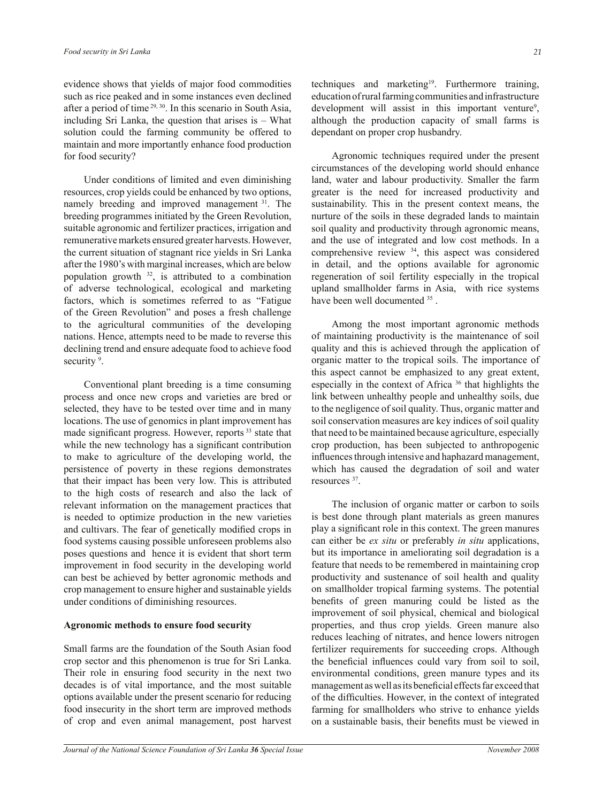evidence shows that yields of major food commodities such as rice peaked and in some instances even declined after a period of time 29, 30. In this scenario in South Asia, including Sri Lanka, the question that arises is – What solution could the farming community be offered to maintain and more importantly enhance food production for food security?

 Under conditions of limited and even diminishing resources, crop yields could be enhanced by two options, namely breeding and improved management <sup>31</sup>. The breeding programmes initiated by the Green Revolution, suitable agronomic and fertilizer practices, irrigation and remunerative markets ensured greater harvests. However, the current situation of stagnant rice yields in Sri Lanka after the 1980's with marginal increases, which are below population growth  $32$ , is attributed to a combination of adverse technological, ecological and marketing factors, which is sometimes referred to as "Fatigue of the Green Revolution" and poses a fresh challenge to the agricultural communities of the developing nations. Hence, attempts need to be made to reverse this declining trend and ensure adequate food to achieve food security<sup>9</sup>.

 Conventional plant breeding is a time consuming process and once new crops and varieties are bred or selected, they have to be tested over time and in many locations. The use of genomics in plant improvement has made significant progress. However, reports<sup>33</sup> state that while the new technology has a significant contribution to make to agriculture of the developing world, the persistence of poverty in these regions demonstrates that their impact has been very low. This is attributed to the high costs of research and also the lack of relevant information on the management practices that is needed to optimize production in the new varieties and cultivars. The fear of genetically modified crops in food systems causing possible unforeseen problems also poses questions and hence it is evident that short term improvement in food security in the developing world can best be achieved by better agronomic methods and crop management to ensure higher and sustainable yields under conditions of diminishing resources.

### **Agronomic methods to ensure food security**

Small farms are the foundation of the South Asian food crop sector and this phenomenon is true for Sri Lanka. Their role in ensuring food security in the next two decades is of vital importance, and the most suitable options available under the present scenario for reducing food insecurity in the short term are improved methods of crop and even animal management, post harvest techniques and marketing<sup>19</sup>. Furthermore training, education of rural farming communities and infrastructure development will assist in this important venture<sup>9</sup>, although the production capacity of small farms is dependant on proper crop husbandry.

 Agronomic techniques required under the present circumstances of the developing world should enhance land, water and labour productivity. Smaller the farm greater is the need for increased productivity and sustainability. This in the present context means, the nurture of the soils in these degraded lands to maintain soil quality and productivity through agronomic means, and the use of integrated and low cost methods. In a comprehensive review <sup>34</sup>, this aspect was considered in detail, and the options available for agronomic regeneration of soil fertility especially in the tropical upland smallholder farms in Asia, with rice systems have been well documented <sup>35</sup>.

 Among the most important agronomic methods of maintaining productivity is the maintenance of soil quality and this is achieved through the application of organic matter to the tropical soils. The importance of this aspect cannot be emphasized to any great extent, especially in the context of Africa <sup>36</sup> that highlights the link between unhealthy people and unhealthy soils, due to the negligence of soil quality. Thus, organic matter and soil conservation measures are key indices of soil quality that need to be maintained because agriculture, especially crop production, has been subjected to anthropogenic influences through intensive and haphazard management, which has caused the degradation of soil and water resources <sup>37</sup> .

 The inclusion of organic matter or carbon to soils is best done through plant materials as green manures play a significant role in this context. The green manures can either be *ex situ* or preferably *in situ* applications, but its importance in ameliorating soil degradation is a feature that needs to be remembered in maintaining crop productivity and sustenance of soil health and quality on smallholder tropical farming systems. The potential benefits of green manuring could be listed as the improvement of soil physical, chemical and biological properties, and thus crop yields. Green manure also reduces leaching of nitrates, and hence lowers nitrogen fertilizer requirements for succeeding crops. Although the beneficial influences could vary from soil to soil, environmental conditions, green manure types and its management as well as its beneficial effects far exceed that of the difficulties. However, in the context of integrated farming for smallholders who strive to enhance yields on a sustainable basis, their benefits must be viewed in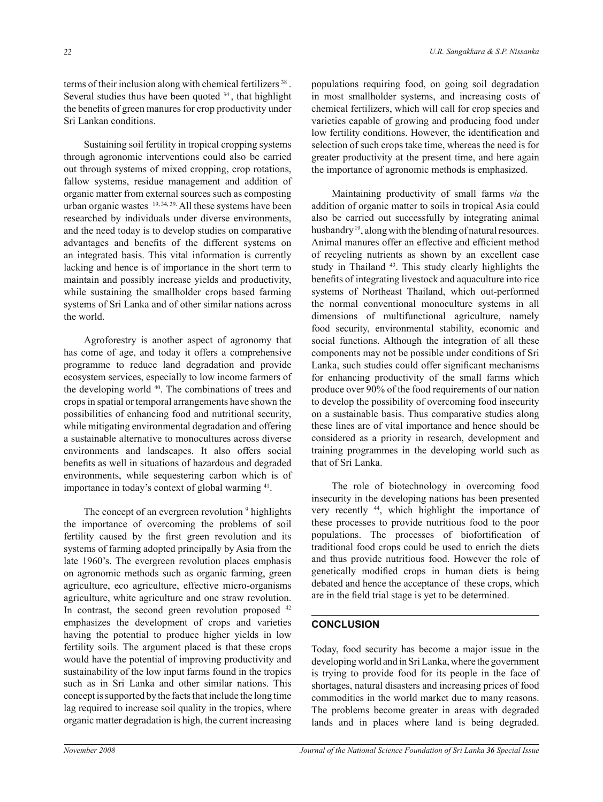terms of their inclusion along with chemical fertilizers<sup>38</sup>. Several studies thus have been quoted  $34$ , that highlight the benefits of green manures for crop productivity under Sri Lankan conditions.

 Sustaining soil fertility in tropical cropping systems through agronomic interventions could also be carried out through systems of mixed cropping, crop rotations, fallow systems, residue management and addition of organic matter from external sources such as composting urban organic wastes 19, 34, 39. All these systems have been researched by individuals under diverse environments, and the need today is to develop studies on comparative advantages and benefits of the different systems on an integrated basis. This vital information is currently lacking and hence is of importance in the short term to maintain and possibly increase yields and productivity, while sustaining the smallholder crops based farming systems of Sri Lanka and of other similar nations across the world.

 Agroforestry is another aspect of agronomy that has come of age, and today it offers a comprehensive programme to reduce land degradation and provide ecosystem services, especially to low income farmers of the developing world <sup>40</sup>. The combinations of trees and crops in spatial or temporal arrangements have shown the possibilities of enhancing food and nutritional security, while mitigating environmental degradation and offering a sustainable alternative to monocultures across diverse environments and landscapes. It also offers social benefits as well in situations of hazardous and degraded environments, while sequestering carbon which is of importance in today's context of global warming <sup>41</sup>.

The concept of an evergreen revolution <sup>9</sup> highlights the importance of overcoming the problems of soil fertility caused by the first green revolution and its systems of farming adopted principally by Asia from the late 1960's. The evergreen revolution places emphasis on agronomic methods such as organic farming, green agriculture, eco agriculture, effective micro-organisms agriculture, white agriculture and one straw revolution. In contrast, the second green revolution proposed <sup>42</sup> emphasizes the development of crops and varieties having the potential to produce higher yields in low fertility soils. The argument placed is that these crops would have the potential of improving productivity and sustainability of the low input farms found in the tropics such as in Sri Lanka and other similar nations. This concept is supported by the facts that include the long time lag required to increase soil quality in the tropics, where organic matter degradation is high, the current increasing

populations requiring food, on going soil degradation in most smallholder systems, and increasing costs of chemical fertilizers, which will call for crop species and varieties capable of growing and producing food under low fertility conditions. However, the identification and selection of such crops take time, whereas the need is for greater productivity at the present time, and here again the importance of agronomic methods is emphasized.

 Maintaining productivity of small farms *via* the addition of organic matter to soils in tropical Asia could also be carried out successfully by integrating animal husbandry<sup>19</sup>, along with the blending of natural resources. Animal manures offer an effective and efficient method of recycling nutrients as shown by an excellent case study in Thailand <sup>43</sup>. This study clearly highlights the benefits of integrating livestock and aquaculture into rice systems of Northeast Thailand, which out-performed the normal conventional monoculture systems in all dimensions of multifunctional agriculture, namely food security, environmental stability, economic and social functions. Although the integration of all these components may not be possible under conditions of Sri Lanka, such studies could offer significant mechanisms for enhancing productivity of the small farms which produce over 90% of the food requirements of our nation to develop the possibility of overcoming food insecurity on a sustainable basis. Thus comparative studies along these lines are of vital importance and hence should be considered as a priority in research, development and training programmes in the developing world such as that of Sri Lanka.

 The role of biotechnology in overcoming food insecurity in the developing nations has been presented very recently <sup>44</sup>, which highlight the importance of these processes to provide nutritious food to the poor populations. The processes of biofortification of traditional food crops could be used to enrich the diets and thus provide nutritious food. However the role of genetically modified crops in human diets is being debated and hence the acceptance of these crops, which are in the field trial stage is yet to be determined.

## **CONCLUSION**

Today, food security has become a major issue in the developing world and in Sri Lanka, where the government is trying to provide food for its people in the face of shortages, natural disasters and increasing prices of food commodities in the world market due to many reasons. The problems become greater in areas with degraded lands and in places where land is being degraded.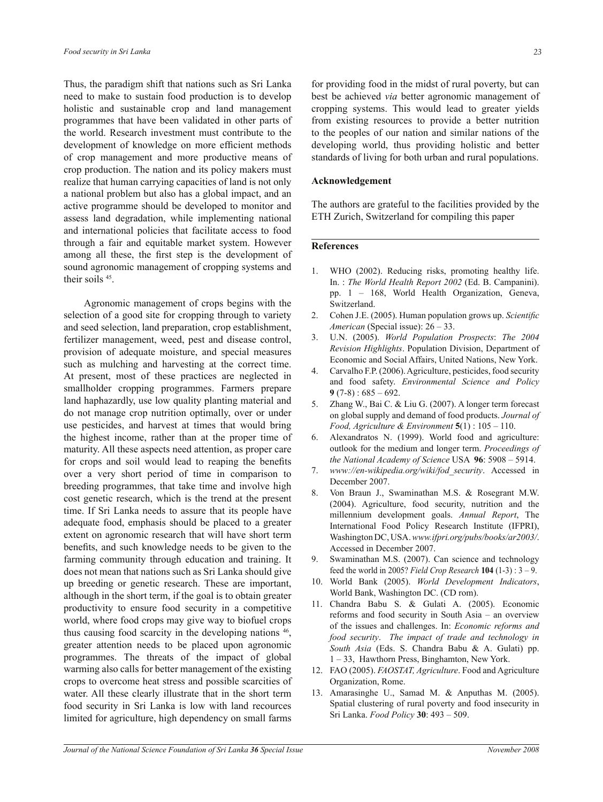Thus, the paradigm shift that nations such as Sri Lanka need to make to sustain food production is to develop holistic and sustainable crop and land management programmes that have been validated in other parts of the world. Research investment must contribute to the development of knowledge on more efficient methods of crop management and more productive means of crop production. The nation and its policy makers must realize that human carrying capacities of land is not only a national problem but also has a global impact, and an active programme should be developed to monitor and assess land degradation, while implementing national and international policies that facilitate access to food through a fair and equitable market system. However among all these, the first step is the development of sound agronomic management of cropping systems and their soils <sup>45</sup>.

 Agronomic management of crops begins with the selection of a good site for cropping through to variety and seed selection, land preparation, crop establishment, fertilizer management, weed, pest and disease control, provision of adequate moisture, and special measures such as mulching and harvesting at the correct time. At present, most of these practices are neglected in smallholder cropping programmes. Farmers prepare land haphazardly, use low quality planting material and do not manage crop nutrition optimally, over or under use pesticides, and harvest at times that would bring the highest income, rather than at the proper time of maturity. All these aspects need attention, as proper care for crops and soil would lead to reaping the benefits over a very short period of time in comparison to breeding programmes, that take time and involve high cost genetic research, which is the trend at the present time. If Sri Lanka needs to assure that its people have adequate food, emphasis should be placed to a greater extent on agronomic research that will have short term benefits, and such knowledge needs to be given to the farming community through education and training. It does not mean that nations such as Sri Lanka should give up breeding or genetic research. These are important, although in the short term, if the goal is to obtain greater productivity to ensure food security in a competitive world, where food crops may give way to biofuel crops thus causing food scarcity in the developing nations <sup>46</sup> , greater attention needs to be placed upon agronomic programmes. The threats of the impact of global warming also calls for better management of the existing crops to overcome heat stress and possible scarcities of water. All these clearly illustrate that in the short term food security in Sri Lanka is low with land recources limited for agriculture, high dependency on small farms

for providing food in the midst of rural poverty, but can best be achieved *via* better agronomic management of cropping systems. This would lead to greater yields from existing resources to provide a better nutrition to the peoples of our nation and similar nations of the developing world, thus providing holistic and better standards of living for both urban and rural populations.

#### **Acknowledgement**

The authors are grateful to the facilities provided by the ETH Zurich, Switzerland for compiling this paper

## **References**

- 1. WHO (2002). Reducing risks, promoting healthy life. In. : *The World Health Report 2002* (Ed. B. Campanini). pp. 1 – 168, World Health Organization, Geneva, Switzerland.
- 2. Cohen J.E. (2005). Human population grows up. *Scientific American* (Special issue): 26 – 33.
- 3. U.N. (2005). *World Population Prospects*: *The 2004 Revision Highlights*. Population Division, Department of Economic and Social Affairs, United Nations, New York.
- 4. Carvalho F.P. (2006). Agriculture, pesticides, food security and food safety. *Environmental Science and Policy* **9** (7-8) : 685 – 692.
- 5. Zhang W., Bai C. & Liu G. (2007). A longer term forecast on global supply and demand of food products. *Journal of Food, Agriculture & Environment* **5**(1) : 105 – 110.
- 6. Alexandratos N. (1999). World food and agriculture: outlook for the medium and longer term. *Proceedings of the National Academy of Science* USA **96**: 5908 – 5914.
- 7. *www://en-wikipedia.org/wiki/fod\_security*. Accessed in December 2007.
- 8. Von Braun J., Swaminathan M.S. & Rosegrant M.W. (2004). Agriculture, food security, nutrition and the millennium development goals. *Annual Report*, The International Food Policy Research Institute (IFPRI), Washington DC, USA. *www.ifpri.org/pubs/books/ar2003/*. Accessed in December 2007.
- 9. Swaminathan M.S. (2007). Can science and technology feed the world in 2005? *Field Crop Research* **104** (1-3) : 3 – 9.
- 10. World Bank (2005). *World Development Indicators*, World Bank, Washington DC. (CD rom).
- 11. Chandra Babu S. & Gulati A. (2005). Economic reforms and food security in South Asia – an overview of the issues and challenges. In: *Economic reforms and food security*. *The impact of trade and technology in South Asia* (Eds. S. Chandra Babu & A. Gulati) pp. 1 – 33, Hawthorn Press, Binghamton, New York.
- 12. FAO (2005). *FAOSTAT, Agriculture*. Food and Agriculture Organization, Rome.
- 13. Amarasinghe U., Samad M. & Anputhas M. (2005). Spatial clustering of rural poverty and food insecurity in Sri Lanka. *Food Policy* **30**: 493 – 509.